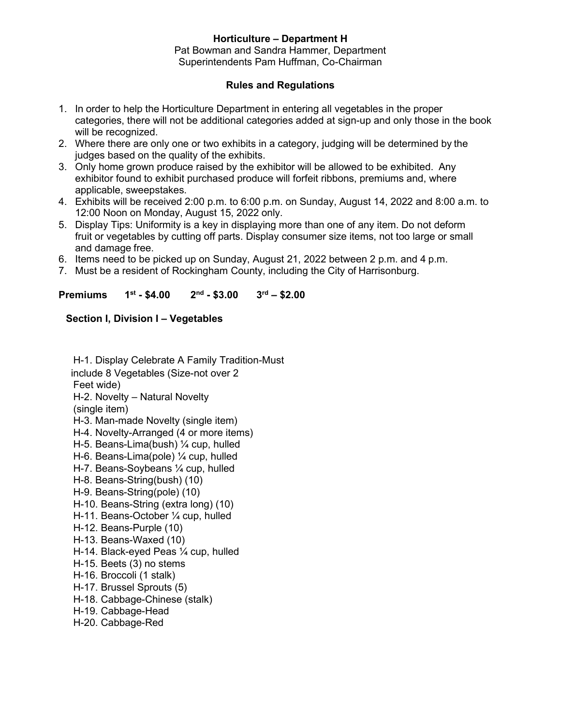# **Horticulture – Department H**

Pat Bowman and Sandra Hammer, Department Superintendents Pam Huffman, Co-Chairman

# **Rules and Regulations**

- 1. In order to help the Horticulture Department in entering all vegetables in the proper categories, there will not be additional categories added at sign-up and only those in the book will be recognized.
- 2. Where there are only one or two exhibits in a category, judging will be determined by the judges based on the quality of the exhibits.
- 3. Only home grown produce raised by the exhibitor will be allowed to be exhibited. Any exhibitor found to exhibit purchased produce will forfeit ribbons, premiums and, where applicable, sweepstakes.
- 4. Exhibits will be received 2:00 p.m. to 6:00 p.m. on Sunday, August 14, 2022 and 8:00 a.m. to 12:00 Noon on Monday, August 15, 2022 only.
- 5. Display Tips: Uniformity is a key in displaying more than one of any item. Do not deform fruit or vegetables by cutting off parts. Display consumer size items, not too large or small and damage free.
- 6. Items need to be picked up on Sunday, August 21, 2022 between 2 p.m. and 4 p.m.
- 7. Must be a resident of Rockingham County, including the City of Harrisonburg.

#### **Premiums 1 st - \$4.00 2 nd - \$3.00 3 rd – \$2.00**

# **Section I, Division I – Vegetables**

- H-1. Display Celebrate A Family Tradition-Must include 8 Vegetables (Size-not over 2 Feet wide) H-2. Novelty – Natural Novelty (single item) H-3. Man-made Novelty (single item) H-4. Novelty-Arranged (4 or more items) H-5. Beans-Lima(bush) ¼ cup, hulled H-6. Beans-Lima(pole) ¼ cup, hulled H-7. Beans-Soybeans ¼ cup, hulled H-8. Beans-String(bush) (10) H-9. Beans-String(pole) (10) H-10. Beans-String (extra long) (10) H-11. Beans-October ¼ cup, hulled H-12. Beans-Purple (10) H-13. Beans-Waxed (10) H-14. Black-eyed Peas ¼ cup, hulled H-15. Beets (3) no stems H-16. Broccoli (1 stalk) H-17. Brussel Sprouts (5) H-18. Cabbage-Chinese (stalk) H-19. Cabbage-Head
- H-20. Cabbage-Red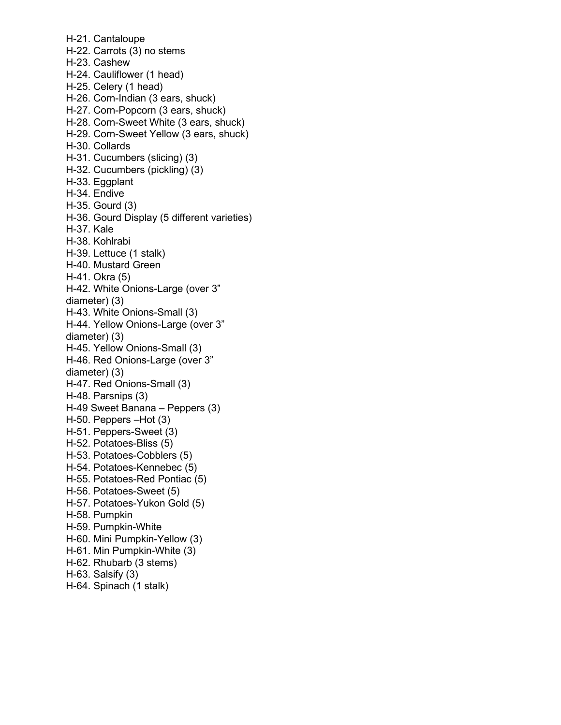H-21. Cantaloupe H-22. Carrots (3) no stems H-23. Cashew H-24. Cauliflower (1 head) H-25. Celery (1 head) H-26. Corn-Indian (3 ears, shuck) H-27. Corn-Popcorn (3 ears, shuck) H-28. Corn-Sweet White (3 ears, shuck) H-29. Corn-Sweet Yellow (3 ears, shuck) H-30. Collards H-31. Cucumbers (slicing) (3) H-32. Cucumbers (pickling) (3) H-33. Eggplant H-34. Endive H-35. Gourd (3) H-36. Gourd Display (5 different varieties) H-37. Kale H-38. Kohlrabi H-39. Lettuce (1 stalk) H-40. Mustard Green H-41. Okra (5) H-42. White Onions-Large (over 3" diameter) (3) H-43. White Onions-Small (3) H-44. Yellow Onions-Large (over 3" diameter) (3) H-45. Yellow Onions-Small (3) H-46. Red Onions-Large (over 3" diameter) (3) H-47. Red Onions-Small (3) H-48. Parsnips (3) H-49 Sweet Banana – Peppers (3) H-50. Peppers –Hot (3) H-51. Peppers-Sweet (3) H-52. Potatoes-Bliss (5) H-53. Potatoes-Cobblers (5) H-54. Potatoes-Kennebec (5) H-55. Potatoes-Red Pontiac (5) H-56. Potatoes-Sweet (5) H-57. Potatoes-Yukon Gold (5) H-58. Pumpkin H-59. Pumpkin-White H-60. Mini Pumpkin-Yellow (3) H-61. Min Pumpkin-White (3) H-62. Rhubarb (3 stems) H-63. Salsify (3) H-64. Spinach (1 stalk)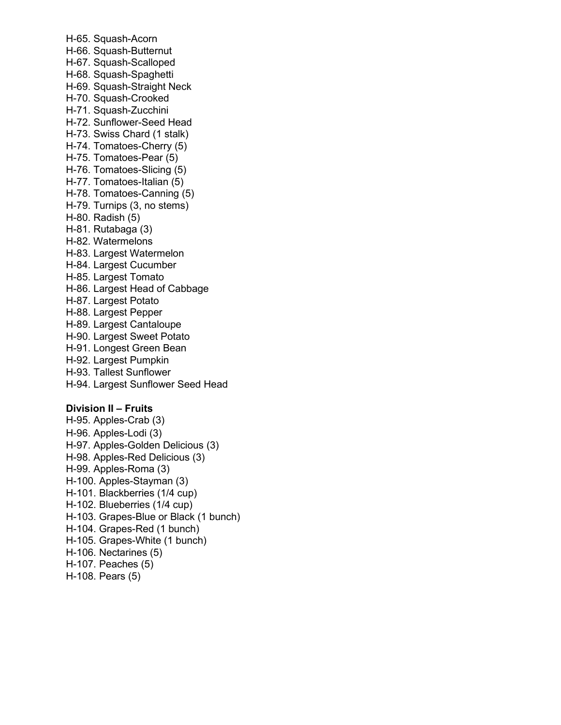H-65. Squash-Acorn H-66. Squash-Butternut H-67. Squash-Scalloped H-68. Squash-Spaghetti H-69. Squash-Straight Neck H-70. Squash-Crooked H-71. Squash-Zucchini H-72. Sunflower-Seed Head H-73. Swiss Chard (1 stalk) H-74. Tomatoes-Cherry (5) H-75. Tomatoes-Pear (5) H-76. Tomatoes-Slicing (5) H-77. Tomatoes-Italian (5) H-78. Tomatoes-Canning (5) H-79. Turnips (3, no stems) H-80. Radish (5) H-81. Rutabaga (3) H-82. Watermelons H-83. Largest Watermelon H-84. Largest Cucumber H-85. Largest Tomato H-86. Largest Head of Cabbage H-87. Largest Potato H-88. Largest Pepper H-89. Largest Cantaloupe H-90. Largest Sweet Potato H-91. Longest Green Bean H-92. Largest Pumpkin H-93. Tallest Sunflower H-94. Largest Sunflower Seed Head **Division II – Fruits**

H-95. Apples-Crab (3) H-96. Apples-Lodi (3) H-97. Apples-Golden Delicious (3) H-98. Apples-Red Delicious (3) H-99. Apples-Roma (3) H-100. Apples-Stayman (3) H-101. Blackberries (1/4 cup) H-102. Blueberries (1/4 cup) H-103. Grapes-Blue or Black (1 bunch) H-104. Grapes-Red (1 bunch) H-105. Grapes-White (1 bunch) H-106. Nectarines (5) H-107. Peaches (5) H-108. Pears (5)